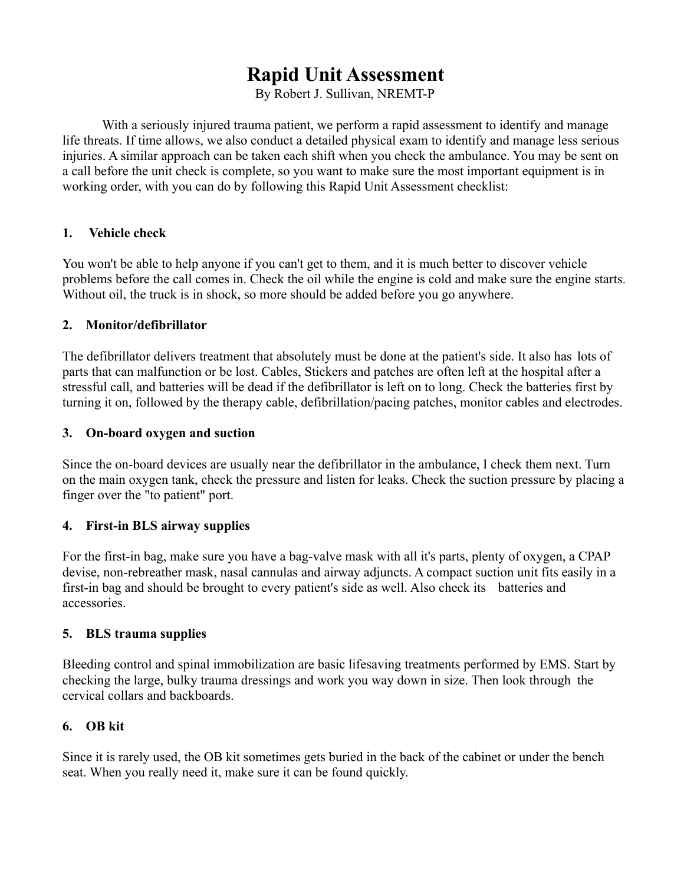# **Rapid Unit Assessment**

By Robert J. Sullivan, NREMT-P

With a seriously injured trauma patient, we perform a rapid assessment to identify and manage life threats. If time allows, we also conduct a detailed physical exam to identify and manage less serious injuries. A similar approach can be taken each shift when you check the ambulance. You may be sent on a call before the unit check is complete, so you want to make sure the most important equipment is in working order, with you can do by following this Rapid Unit Assessment checklist:

#### **1. Vehicle check**

You won't be able to help anyone if you can't get to them, and it is much better to discover vehicle problems before the call comes in. Check the oil while the engine is cold and make sure the engine starts. Without oil, the truck is in shock, so more should be added before you go anywhere.

#### **2. Monitor/defibrillator**

The defibrillator delivers treatment that absolutely must be done at the patient's side. It also has lots of parts that can malfunction or be lost. Cables, Stickers and patches are often left at the hospital after a stressful call, and batteries will be dead if the defibrillator is left on to long. Check the batteries first by turning it on, followed by the therapy cable, defibrillation/pacing patches, monitor cables and electrodes.

#### **3. On-board oxygen and suction**

Since the on-board devices are usually near the defibrillator in the ambulance, I check them next. Turn on the main oxygen tank, check the pressure and listen for leaks. Check the suction pressure by placing a finger over the "to patient" port.

## **4. First-in BLS airway supplies**

For the first-in bag, make sure you have a bag-valve mask with all it's parts, plenty of oxygen, a CPAP devise, non-rebreather mask, nasal cannulas and airway adjuncts. A compact suction unit fits easily in a first-in bag and should be brought to every patient's side as well. Also check its batteries and accessories.

#### **5. BLS trauma supplies**

Bleeding control and spinal immobilization are basic lifesaving treatments performed by EMS. Start by checking the large, bulky trauma dressings and work you way down in size. Then look through the cervical collars and backboards.

## **6. OB kit**

Since it is rarely used, the OB kit sometimes gets buried in the back of the cabinet or under the bench seat. When you really need it, make sure it can be found quickly.